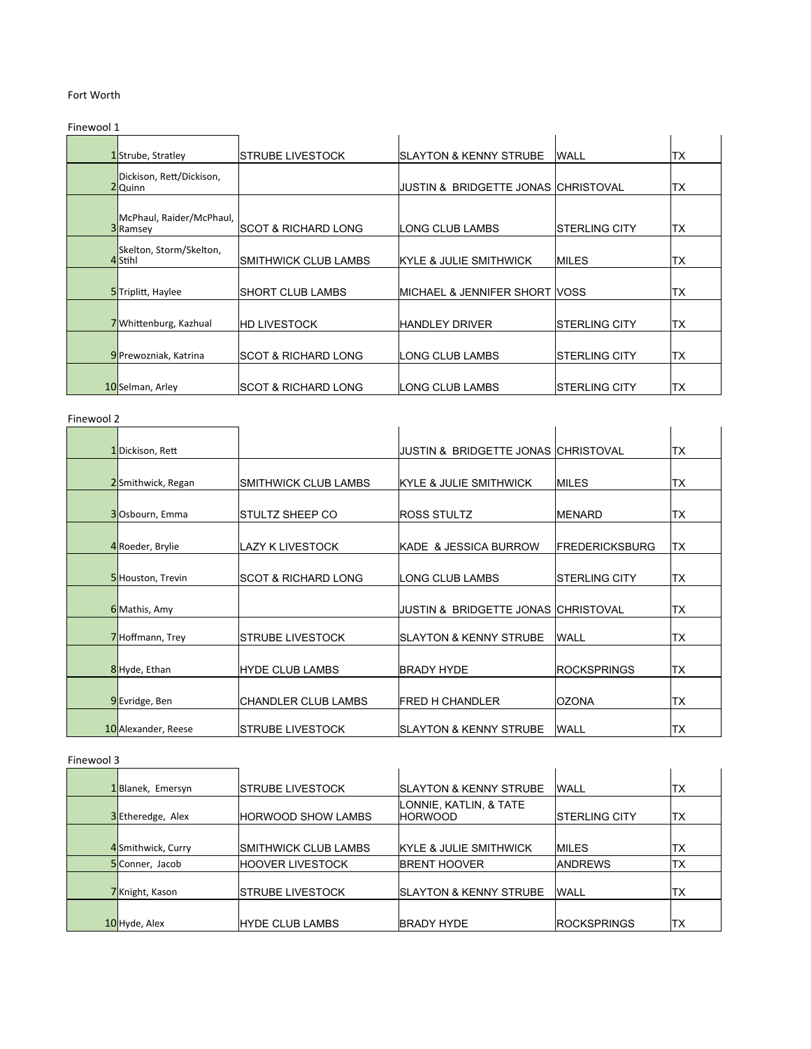# Fort Worth

Finewool 1

| . |                                     |                       |                                       |                |      |
|---|-------------------------------------|-----------------------|---------------------------------------|----------------|------|
|   | 1Strube, Stratley                   | ISTRUBE LIVESTOCK     | <b>ISLAYTON &amp; KENNY STRUBE</b>    | <b>WALL</b>    | ltx  |
|   | Dickison, Rett/Dickison,<br>2Quinn  |                       | IJUSTIN & BRIDGETTE JONAS ICHRISTOVAL |                | lтx  |
|   | McPhaul, Raider/McPhaul,<br>3Ramsey | ISCOT & RICHARD LONG  | ILONG CLUB LAMBS                      | ISTERLING CITY | lтx  |
|   | Skelton, Storm/Skelton,<br>4Stihl   | ISMITHWICK CLUB LAMBS | <b>IKYLE &amp; JULIE SMITHWICK</b>    | <b>IMILES</b>  | lTX. |
|   | 5Triplitt, Haylee                   | ISHORT CLUB LAMBS     | IMICHAEL & JENNIFER SHORT IVOSS       |                | lтx  |
|   | 7Whittenburg, Kazhual               | <b>HD LIVESTOCK</b>   | <b>HANDLEY DRIVER</b>                 | ISTERLING CITY | ltx  |
|   | 9 Prewozniak, Katrina               | ISCOT & RICHARD LONG  | ILONG CLUB LAMBS                      | ISTERLING CITY | ltx  |
|   | 10Selman, Arley                     | ISCOT & RICHARD LONG  | ILONG CLUB LAMBS                      | ISTERLING CITY | ltx  |

### Finewool 2

| <u>IIILWUU 4</u>    |                                |                                      |                        |      |
|---------------------|--------------------------------|--------------------------------------|------------------------|------|
| 1Dickison, Rett     |                                | JUSTIN & BRIDGETTE JONAS ICHRISTOVAL |                        | TX   |
| 2Smithwick, Regan   | SMITHWICK CLUB LAMBS           | KYLE & JULIE SMITHWICK               | <b>IMILES</b>          | TX   |
| 3Osbourn, Emma      | STULTZ SHEEP CO                | <b>ROSS STULTZ</b>                   | <b>IMENARD</b>         | TX   |
| 4 Roeder, Brylie    | <b>LAZY K LIVESTOCK</b>        | KADE & JESSICA BURROW                | <b>IFREDERICKSBURG</b> | lTX. |
| 5Houston, Trevin    | <b>SCOT &amp; RICHARD LONG</b> | LONG CLUB LAMBS                      | ISTERLING CITY         | TX   |
| 6 Mathis, Amy       |                                | JUSTIN & BRIDGETTE JONAS ICHRISTOVAL |                        | TX   |
| 7Hoffmann, Trey     | <b>STRUBE LIVESTOCK</b>        | <b>ISLAYTON &amp; KENNY STRUBE</b>   | <b>WALL</b>            | TX   |
| 8Hyde, Ethan        | <b>HYDE CLUB LAMBS</b>         | BRADY HYDE                           | <b>IROCKSPRINGS</b>    | TX   |
| 9Evridge, Ben       | CHANDLER CLUB LAMBS            | <b>FRED H CHANDLER</b>               | <b>OZONA</b>           | TX   |
| 10 Alexander, Reese | <b>STRUBE LIVESTOCK</b>        | <b>ISLAYTON &amp; KENNY STRUBE</b>   | <b>WALL</b>            | TX   |

### Finewool 3

| 1Blanek, Emersyn  | <b>ISTRUBE LIVESTOCK</b>  | <b>ISLAYTON &amp; KENNY STRUBE</b>       | <b>WALL</b>           | lтx        |
|-------------------|---------------------------|------------------------------------------|-----------------------|------------|
| 3Etheredge, Alex  | <b>HORWOOD SHOW LAMBS</b> | LONNIE, KATLIN, & TATE<br><b>HORWOOD</b> | <b>ISTERLING CITY</b> | ltx        |
| 4Smithwick, Curry | ISMITHWICK CLUB LAMBS     | <b>IKYLE &amp; JULIE SMITHWICK</b>       | <b>IMILES</b>         | <b>ITX</b> |
| 5 Conner, Jacob   | <b>IHOOVER LIVESTOCK</b>  | <b>IBRENT HOOVER</b>                     | <b>IANDREWS</b>       | lΤX        |
| 7Knight, Kason    | ISTRUBE LIVESTOCK         | <b>ISLAYTON &amp; KENNY STRUBE</b>       | <b>WALL</b>           | <b>ITX</b> |
| 10 Hyde, Alex     | <b>HYDE CLUB LAMBS</b>    | <b>BRADY HYDE</b>                        | <b>ROCKSPRINGS</b>    | lтx        |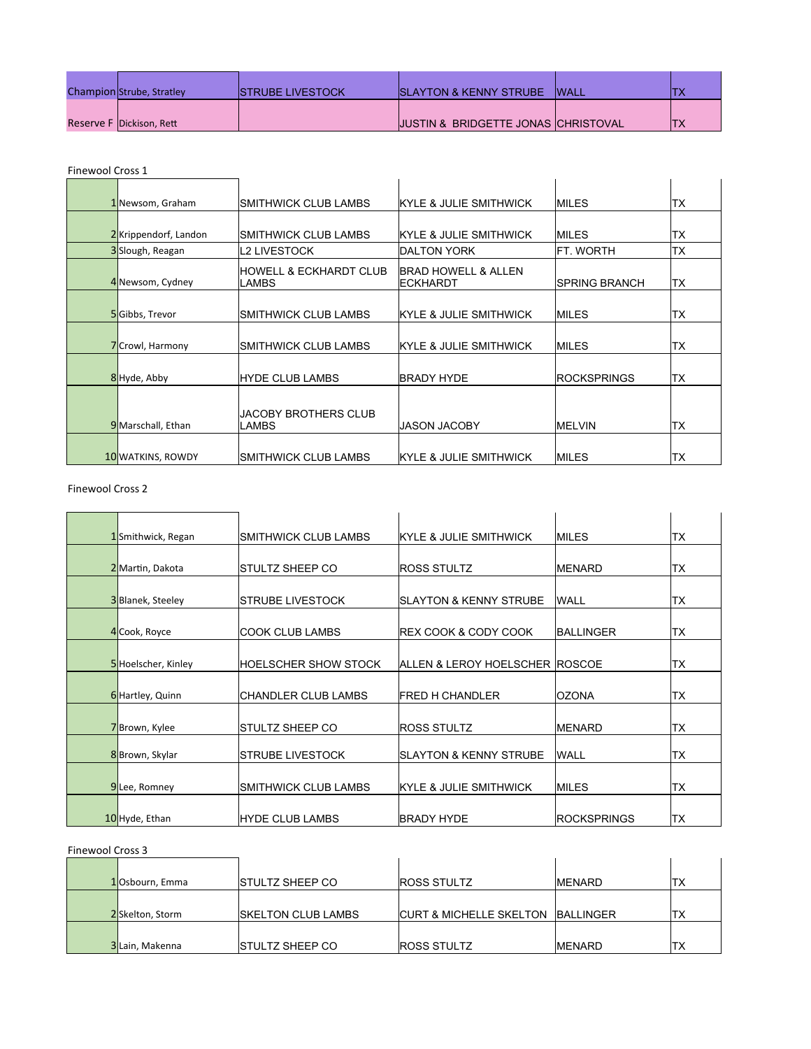| Champion Strube, Stratley | <b>ISTRUBE LIVESTOCK</b> | <b>ISLAYTON &amp; KENNY STRUBE</b>             | <b>WALL</b> |           |
|---------------------------|--------------------------|------------------------------------------------|-------------|-----------|
| Reserve F Dickison, Rett  |                          | <b>JUSTIN &amp; BRIDGETTE JONAS CHRISTOVAL</b> |             | ידו<br>ΙX |

# Finewool Cross 1

| בנטוט וטטאסוווו |                          |                                 |                                         |                      |           |
|-----------------|--------------------------|---------------------------------|-----------------------------------------|----------------------|-----------|
|                 | 1 Newsom, Graham         | SMITHWICK CLUB LAMBS            | <b>IKYLE &amp; JULIE SMITHWICK</b>      | IMILES               | TX        |
|                 |                          |                                 |                                         |                      |           |
|                 | 2Krippendorf, Landon     | SMITHWICK CLUB LAMBS            | KYLE & JULIE SMITHWICK                  | IMILES               | TX        |
|                 | 3Slough, Reagan          | L2 LIVESTOCK                    | IDALTON YORK                            | FT. WORTH            | <b>TX</b> |
|                 | 4 Newsom, Cydney         | HOWELL & ECKHARDT CLUB<br>LAMBS | BRAD HOWELL & ALLEN<br><b>IECKHARDT</b> | <b>SPRING BRANCH</b> | ltx       |
|                 | 5Gibbs, Trevor           | SMITHWICK CLUB LAMBS            | IKYLE & JULIE SMITHWICK.                | <b>IMILES</b>        | TX        |
|                 | 7 Crowl, Harmony         | SMITHWICK CLUB LAMBS            | KYLE & JULIE SMITHWICK                  | <b>IMILES</b>        | TX        |
|                 | 8 Hyde, Abby             | <b>HYDE CLUB LAMBS</b>          | <b>BRADY HYDE</b>                       | <b>ROCKSPRINGS</b>   | TX        |
|                 | 9 Marschall, Ethan       | JACOBY BROTHERS CLUB<br>LAMBS   | <b>JASON JACOBY</b>                     | <b>MELVIN</b>        | TX        |
|                 | <b>10 WATKINS, ROWDY</b> | SMITHWICK CLUB LAMBS            | <b>IKYLE &amp; JULIE SMITHWICK</b>      | IMILES               | <b>TX</b> |

## Finewool Cross 2

| 1Smithwick, Regan  | ISMITHWICK CLUB LAMBS   | <b>IKYLE &amp; JULIE SMITHWICK</b> | <b>IMILES</b>      | ТX        |
|--------------------|-------------------------|------------------------------------|--------------------|-----------|
|                    |                         |                                    |                    |           |
| 2 Martin, Dakota   | ISTULTZ SHEEP CO        | <b>ROSS STULTZ</b>                 | <b>IMENARD</b>     | ТX        |
|                    |                         |                                    |                    |           |
| 3Blanek, Steeley   | ISTRUBE LIVESTOCK       | ISLAYTON & KENNY STRUBE            | <b>WALL</b>        | ТX        |
|                    |                         |                                    |                    |           |
| 4 Cook, Royce      | ICOOK CLUB LAMBS        | <b>IREX COOK &amp; CODY COOK</b>   | <b>BALLINGER</b>   | ТX        |
|                    |                         |                                    |                    |           |
| 5Hoelscher, Kinley | IHOELSCHER SHOW STOCK   | ALLEN & LEROY HOELSCHER ROSCOE     |                    | <b>TX</b> |
|                    |                         |                                    |                    |           |
| 6 Hartley, Quinn   | ICHANDLER CLUB LAMBS    | IFRED H CHANDLER                   | <b>IOZONA</b>      | ТX        |
|                    |                         |                                    |                    |           |
| 7Brown, Kylee      | ISTULTZ SHEEP CO        | <b>ROSS STULTZ</b>                 | <b>IMENARD</b>     | TX        |
| 8 Brown, Skylar    | ISTRUBE LIVESTOCK       | <b>SLAYTON &amp; KENNY STRUBE</b>  | <b>WALL</b>        | TX        |
|                    |                         |                                    |                    |           |
| 9Lee, Romney       | SMITHWICK CLUB LAMBS    | KYLE & JULIE SMITHWICK             | <b>IMILES</b>      | TX        |
|                    |                         |                                    |                    |           |
| 10 Hyde, Ethan     | <b>IHYDE CLUB LAMBS</b> | <b>BRADY HYDE</b>                  | <b>ROCKSPRINGS</b> | <b>TX</b> |

#### Finewool Cross 3

| <b>FILIEWUUL CLUSS 3</b> |                            |                                     |                   |     |  |
|--------------------------|----------------------------|-------------------------------------|-------------------|-----|--|
| 10sbourn, Emma           | <b>ISTULTZ SHEEP CO</b>    | <b>ROSS STULTZ</b>                  | <b>IMENARD</b>    | lTX |  |
| 2Skelton, Storm          | <b>ISKELTON CLUB LAMBS</b> | <b>ICURT &amp; MICHELLE SKELTON</b> | <b>IBALLINGER</b> | lТX |  |
| 3Lain, Makenna           | <b>ISTULTZ SHEEP CO</b>    | <b>IROSS STULTZ</b>                 | <b>IMENARD</b>    | lТX |  |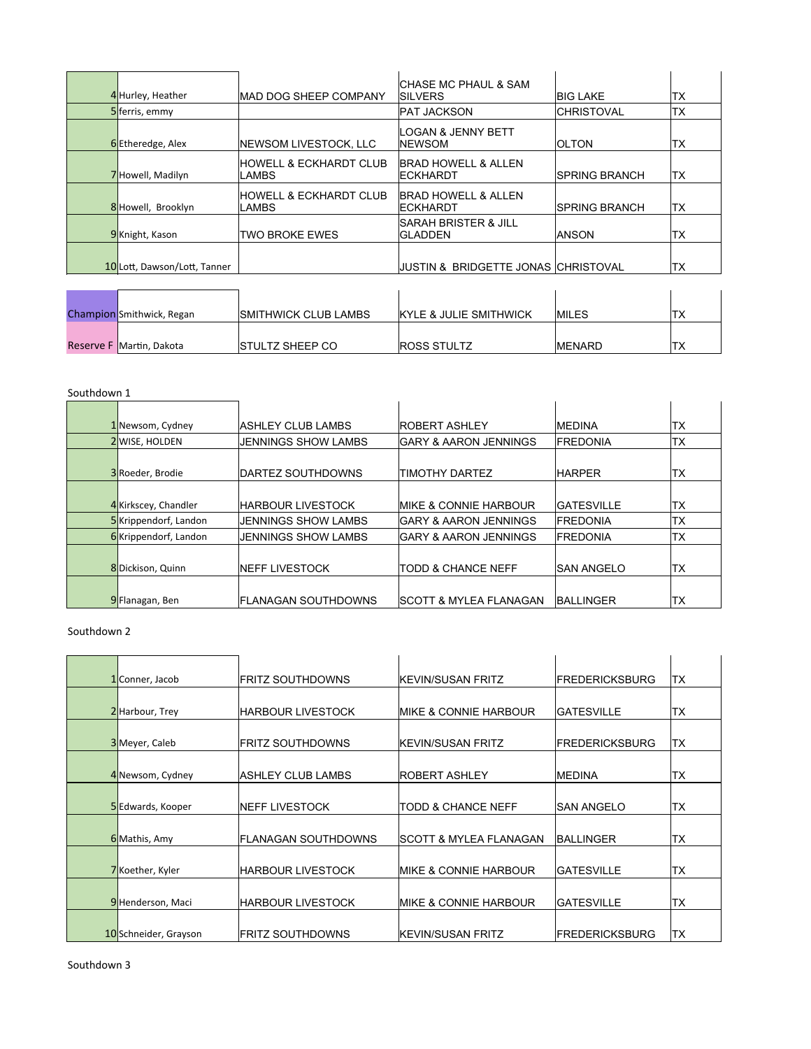| 4 Hurley, Heather  | <b>IMAD DOG SHEEP COMPANY</b>               | ISILVERS            | <b>CHASE MC PHAUL &amp; SAM</b>       | IBIG LAKE             | ТX |
|--------------------|---------------------------------------------|---------------------|---------------------------------------|-----------------------|----|
| 5ferris, emmy      |                                             | <b>IPAT JACKSON</b> |                                       | <b>ICHRISTOVAL</b>    | ТX |
| 6Etheredge, Alex   | NEWSOM LIVESTOCK, LLC                       | <b>INEWSOM</b>      | <b>LOGAN &amp; JENNY BETT</b>         | <b>OLTON</b>          | ТX |
| 7 Howell, Madilyn  | <b>IHOWELL &amp; ECKHARDT CLUB</b><br>LAMBS | <b>IECKHARDT</b>    | <b>BRAD HOWELL &amp; ALLEN</b>        | <b>ISPRING BRANCH</b> | ТX |
| 8 Howell, Brooklyn | <b>IHOWELL &amp; ECKHARDT CLUB</b><br>LAMBS | <b>IECKHARDT</b>    | <b>BRAD HOWELL &amp; ALLEN</b>        | <b>ISPRING BRANCH</b> | ТX |
| 9Knight, Kason     | <b>TWO BROKE EWES</b>                       | <b>IGLADDEN</b>     | ISARAH BRISTER & JILL                 | <b>ANSON</b>          | ТX |
|                    | 10 Lott, Dawson/Lott, Tanner                |                     | IJUSTIN & BRIDGETTE JONAS ICHRISTOVAL |                       | ТX |
|                    |                                             |                     |                                       |                       |    |

| <b>Champion</b> Smithwick, Regan | <b>ISMITHWICK CLUB LAMBS</b> | <b>IKYLE &amp; JULIE SMITHWICK</b> | <b>IMILES</b>  |  |
|----------------------------------|------------------------------|------------------------------------|----------------|--|
|                                  |                              |                                    |                |  |
| Reserve F Martin, Dakota         | <b>ISTULTZ SHEEP CO</b>      | <b>ROSS STULTZ</b>                 | <b>IMENARD</b> |  |

 $\ddot{\phantom{a}}$ 

| Southdown 1 |  |
|-------------|--|
|-------------|--|

| 1 Newsom, Cydney     | IASHLEY CLUB LAMBS   | <b>IROBERT ASHLEY</b>              | <b>IMEDINA</b>     | lтx       |
|----------------------|----------------------|------------------------------------|--------------------|-----------|
| 2 WISE, HOLDEN       | JENNINGS SHOW LAMBS  | <b>IGARY &amp; AARON JENNINGS</b>  | <b>IFREDONIA</b>   | TX        |
|                      |                      |                                    |                    |           |
| 3 Roeder, Brodie     | IDARTEZ SOUTHDOWNS   | ITIMOTHY DARTEZ                    | <b>HARPER</b>      | lТX       |
|                      |                      |                                    |                    |           |
| 4 Kirkscey, Chandler | IHARBOUR LIVESTOCK   | <b>IMIKE &amp; CONNIE HARBOUR</b>  | <b>IGATESVILLE</b> | lтx       |
| 5Krippendorf, Landon | JENNINGS SHOW LAMBS  | IGARY & AARON JENNINGS             | <b>IFREDONIA</b>   | <b>TX</b> |
| 6Krippendorf, Landon | JENNINGS SHOW LAMBS  | IGARY & AARON JENNINGS             | <b>IFREDONIA</b>   | <b>TX</b> |
|                      |                      |                                    |                    |           |
| 8Dickison, Quinn     | INEFF LIVESTOCK      | ITODD & CHANCE NEFF                | ISAN ANGELO        | lTX.      |
|                      |                      |                                    |                    |           |
| 9 Flanagan, Ben      | IFLANAGAN SOUTHDOWNS | <b>ISCOTT &amp; MYLEA FLANAGAN</b> | <b>BALLINGER</b>   | lтx       |

Southdown 2

| 1 Conner, Jacob       | IFRITZ SOUTHDOWNS    | <b>IKEVIN/SUSAN FRITZ</b>          | <b>IFREDERICKSBURG</b> | ITX  |
|-----------------------|----------------------|------------------------------------|------------------------|------|
|                       |                      |                                    |                        |      |
| 2 Harbour, Trey       | IHARBOUR LIVESTOCK   | IMIKE & CONNIE HARBOUR             | IGATESVILLE            | lтx  |
| 3 Meyer, Caleb        | IFRITZ SOUTHDOWNS    | <b>IKEVIN/SUSAN FRITZ</b>          | <b>IFREDERICKSBURG</b> | ITX  |
| 4 Newsom, Cydney      | IASHLEY CLUB LAMBS   | IROBERT ASHLEY                     | <b>IMEDINA</b>         | lTX. |
| 5 Edwards, Kooper     | INEFF LIVESTOCK      | ITODD & CHANCE NEFF                | ISAN ANGELO            | lтx  |
| 6 Mathis, Amy         | IFLANAGAN SOUTHDOWNS | <b>ISCOTT &amp; MYLEA FLANAGAN</b> | <b>BALLINGER</b>       | lтx  |
| 7Koether, Kyler       | IHARBOUR LIVESTOCK   | <b>IMIKE &amp; CONNIE HARBOUR</b>  | IGATESVILLE            | lтx  |
| 9Henderson, Maci      | IHARBOUR LIVESTOCK   | IMIKE & CONNIE HARBOUR             | IGATESVILLE            | lтx  |
| 10 Schneider, Grayson | IFRITZ SOUTHDOWNS    | <b>IKEVIN/SUSAN FRITZ</b>          | <b>FREDERICKSBURG</b>  | ltx  |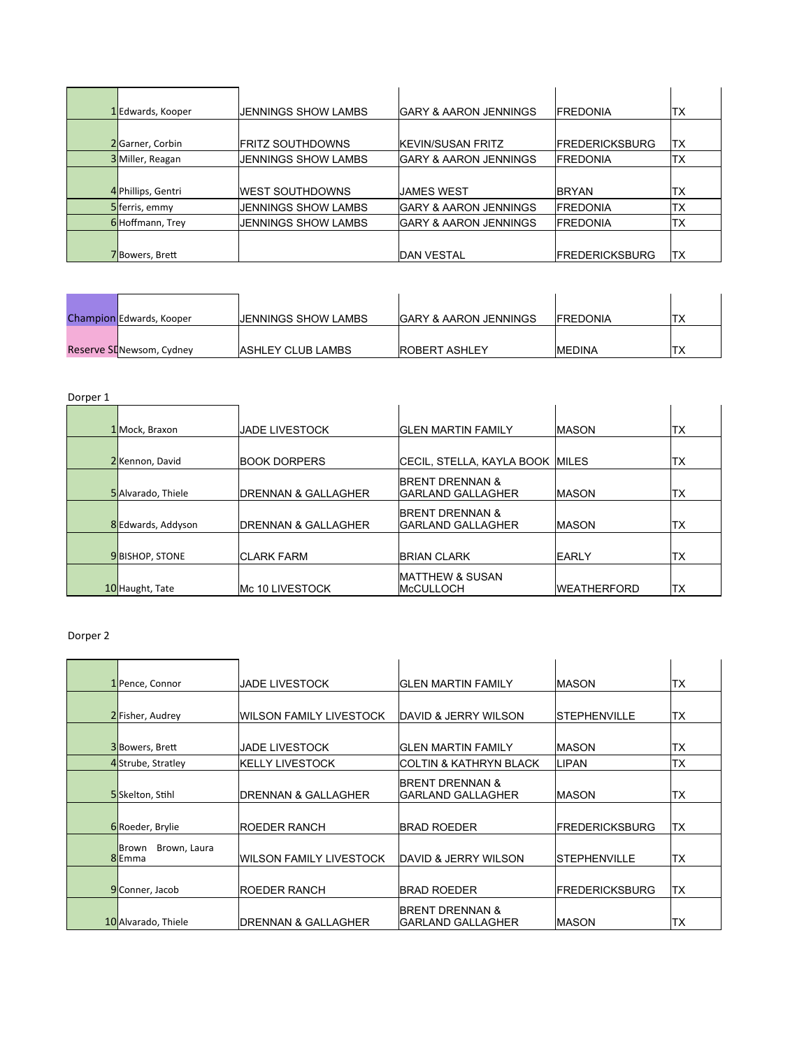| 1 Edwards, Kooper  | IJENNINGS SHOW LAMBS    | <b>IGARY &amp; AARON JENNINGS</b> | <b>IFREDONIA</b>       | TX        |
|--------------------|-------------------------|-----------------------------------|------------------------|-----------|
|                    |                         |                                   |                        |           |
| 2 Garner, Corbin   | <b>FRITZ SOUTHDOWNS</b> | <b>IKEVIN/SUSAN FRITZ</b>         | <b>FREDERICKSBURG</b>  | ١TX       |
| 3 Miller, Reagan   | JENNINGS SHOW LAMBS     | <b>IGARY &amp; AARON JENNINGS</b> | <b>IFREDONIA</b>       | <b>TX</b> |
|                    |                         |                                   |                        |           |
| 4 Phillips, Gentri | <b>IWEST SOUTHDOWNS</b> | IJAMES WEST                       | <b>BRYAN</b>           | 'ТX       |
| 5 ferris, emmy     | JENNINGS SHOW LAMBS     | <b>GARY &amp; AARON JENNINGS</b>  | <b>IFREDONIA</b>       | <b>TX</b> |
| 6Hoffmann, Trey    | JENNINGS SHOW LAMBS     | <b>IGARY &amp; AARON JENNINGS</b> | <b>IFREDONIA</b>       | ТX        |
|                    |                         |                                   |                        |           |
| 7Bowers, Brett     |                         | <b>IDAN VESTAL</b>                | <b>IFREDERICKSBURG</b> | ΙTΧ       |

| Champion Edwards, Kooper  | IJENNINGS SHOW LAMBS     | <b>GARY &amp; AARON JENNINGS</b> | <b>IFREDONIA</b> |     |
|---------------------------|--------------------------|----------------------------------|------------------|-----|
|                           |                          |                                  |                  |     |
| Reserve SI Newsom, Cydney | <b>ASHLEY CLUB LAMBS</b> | <b>IROBERT ASHLEY</b>            | <b>IMEDINA</b>   | 'Τλ |

| Dorper 1 |                        |                                 |                                                  |                    |            |
|----------|------------------------|---------------------------------|--------------------------------------------------|--------------------|------------|
|          | 1 Mock, Braxon         | <b>JADE LIVESTOCK</b>           | <b>IGLEN MARTIN FAMILY</b>                       | <b>IMASON</b>      | TX         |
|          | 2Kennon, David         | <b>BOOK DORPERS</b>             | <b>CECIL, STELLA, KAYLA BOOK MILES</b>           |                    | ТX         |
|          | 5 Alvarado, Thiele     | <b>IDRENNAN &amp; GALLAGHER</b> | <b>BRENT DRENNAN &amp;</b><br>IGARLAND GALLAGHER | <b>IMASON</b>      | ТX         |
|          | 8 Edwards, Addyson     | <b>IDRENNAN &amp; GALLAGHER</b> | <b>BRENT DRENNAN &amp;</b><br>IGARLAND GALLAGHER | <b>IMASON</b>      | ТX         |
|          | <b>9</b> BISHOP, STONE | <b>CLARK FARM</b>               | <b>BRIAN CLARK</b>                               | <b>IEARLY</b>      | <b>ITX</b> |
|          | 10 Haught, Tate        | Mc 10 LIVESTOCK                 | <b>IMATTHEW &amp; SUSAN</b><br><b>IMCCULLOCH</b> | <b>WEATHERFORD</b> | ltx        |

Dorper 2

| 1 Pence, Connor       | <b>JADE LIVESTOCK</b>   | IGLEN MARTIN FAMILY         | <b>IMASON</b>          | <b>TX</b> |
|-----------------------|-------------------------|-----------------------------|------------------------|-----------|
|                       |                         |                             |                        |           |
| 2 Fisher, Audrey      | WILSON FAMILY LIVESTOCK | DAVID & JERRY WILSON        | ISTEPHENVILLE          | lТX       |
|                       |                         |                             |                        |           |
| 3Bowers, Brett        | <b>JADE LIVESTOCK</b>   | IGLEN MARTIN FAMILY         | <b>IMASON</b>          | <b>TX</b> |
| 4Strube, Stratley     | <b>KELLY LIVESTOCK</b>  | ICOLTIN & KATHRYN BLACK     | <b>LIPAN</b>           | ТX        |
|                       |                         | <b>IBRENT DRENNAN &amp;</b> |                        |           |
| 5Skelton, Stihl       | DRENNAN & GALLAGHER     | IGARLAND GALLAGHER          | <b>IMASON</b>          | TX        |
|                       |                         |                             |                        |           |
| 6Roeder, Brylie       | ROEDER RANCH            | <b>IBRAD ROEDER</b>         | <b>IFREDERICKSBURG</b> | ltx       |
| Brown, Laura<br>Brown |                         |                             |                        |           |
| 8Emma                 | WILSON FAMILY LIVESTOCK | DAVID & JERRY WILSON        | ISTEPHENVILLE          | lтx       |
|                       |                         |                             |                        |           |
| 9 Conner, Jacob       | <b>ROEDER RANCH</b>     | <b>IBRAD ROEDER</b>         | <b>FREDERICKSBURG</b>  | lтx       |
|                       |                         | <b>BRENT DRENNAN &amp;</b>  |                        |           |
| 10 Alvarado, Thiele   | DRENNAN & GALLAGHER     | IGARLAND GALLAGHER          | <b>IMASON</b>          | <b>TX</b> |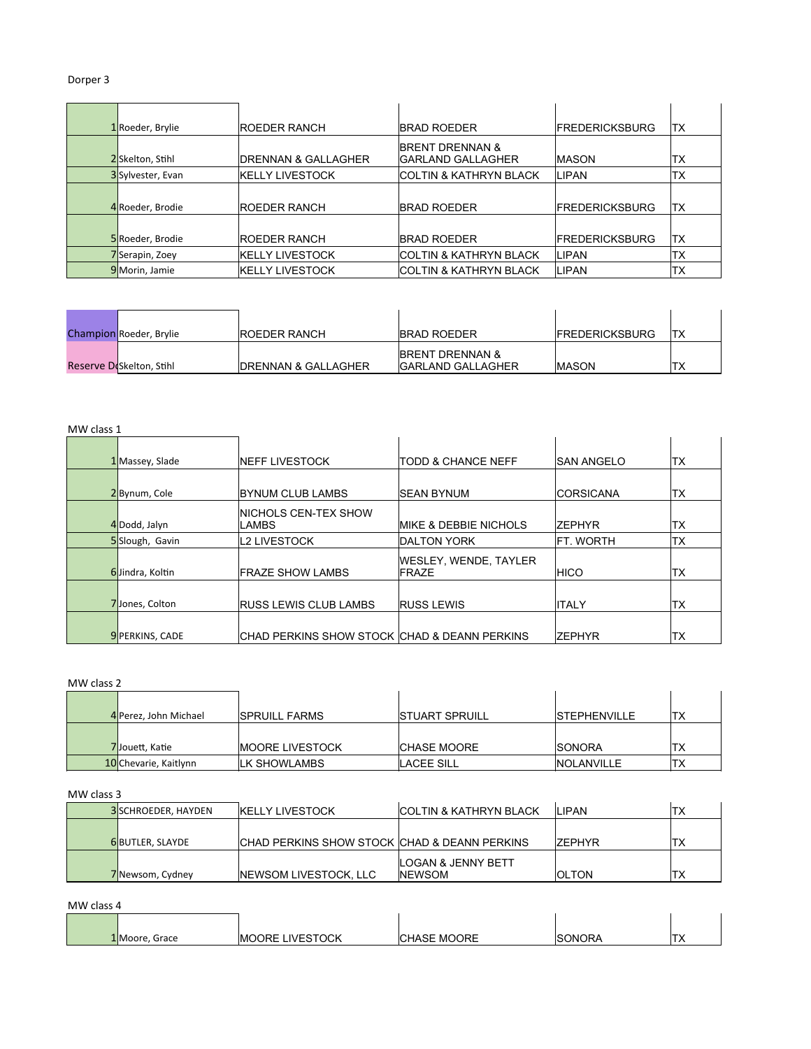# Dorper 3

| 1 Roeder, Brylie | <b>IROEDER RANCH</b>     | <b>IBRAD ROEDER</b>                                     | <b>FREDERICKSBURG</b> | ltx        |
|------------------|--------------------------|---------------------------------------------------------|-----------------------|------------|
| 2 Skelton, Stihl | IDRENNAN & GALLAGHER     | <b>BRENT DRENNAN &amp;</b><br><b>IGARLAND GALLAGHER</b> | <b>IMASON</b>         | ΙТΧ        |
| 3Sylvester, Evan | <b>I</b> KELLY LIVESTOCK | <b>COLTIN &amp; KATHRYN BLACK</b>                       | LIPAN                 | <b>TX</b>  |
| 4 Roeder, Brodie | <b>IROEDER RANCH</b>     | <b>IBRAD ROEDER</b>                                     | <b>FREDERICKSBURG</b> | ltx        |
| 5 Roeder, Brodie | IROEDER RANCH            | <b>IBRAD ROEDER</b>                                     | <b>FREDERICKSBURG</b> | <b>ITX</b> |
| 7Serapin, Zoey   | KELLY LIVESTOCK          | <b>COLTIN &amp; KATHRYN BLACK</b>                       | LIPAN                 | TX         |
| 9 Morin, Jamie   | <b>I</b> KELLY LIVESTOCK | <b>ICOLTIN &amp; KATHRYN BLACK</b>                      | <b>LIPAN</b>          | ТX         |

| <b>Champion</b> Roeder, Brylie | <b>IROEDER RANCH</b>            | <b>IBRAD ROEDER</b>                                      | <b>IFREDERICKSBURG</b> | <b>ITX</b> |
|--------------------------------|---------------------------------|----------------------------------------------------------|------------------------|------------|
| Reserve Diskelton, Stihl       | <b>IDRENNAN &amp; GALLAGHER</b> | <b>IBRENT DRENNAN &amp;</b><br><b>IGARLAND GALLAGHER</b> | <b>IMASON</b>          | 'TX        |

#### MW class 1

| 1 Massey, Slade        | <b>INEFF LIVESTOCK</b>                         | ITODD & CHANCE NEFF                           | <b>ISAN ANGELO</b> | 'TX       |
|------------------------|------------------------------------------------|-----------------------------------------------|--------------------|-----------|
| 2Bynum, Cole           | <b>IBYNUM CLUB LAMBS</b>                       | <b>ISEAN BYNUM</b>                            | <b>CORSICANA</b>   | TX        |
|                        |                                                |                                               |                    |           |
| 4Dodd, Jalyn           | <b>INICHOLS CEN-TEX SHOW</b><br>LAMBS          | <b>IMIKE &amp; DEBBIE NICHOLS</b>             | <b>ZEPHYR</b>      | 'TX       |
| 5Slough, Gavin         | L2 LIVESTOCK                                   | <b>IDALTON YORK</b>                           | <b>IFT. WORTH</b>  | <b>TX</b> |
| 6Jindra, Koltin        | <b>IFRAZE SHOW LAMBS</b>                       | <b>WESLEY, WENDE, TAYLER</b><br><b>IFRAZE</b> | <b>HICO</b>        | TX        |
| 7Jones, Colton         | <b>RUSS LEWIS CLUB LAMBS</b>                   | <b>RUSS LEWIS</b>                             | <b>ITALY</b>       | <b>TX</b> |
| <b>9</b> PERKINS, CADE | ICHAD PERKINS SHOW STOCK ICHAD & DEANN PERKINS |                                               | <b>ZEPHYR</b>      | 'ΤX       |

# MW class 2

| ivivy class 2         |                         |                        |                      |     |  |  |
|-----------------------|-------------------------|------------------------|----------------------|-----|--|--|
|                       |                         |                        |                      |     |  |  |
| 4 Perez, John Michael | <b>ISPRUILL FARMS</b>   | <b>ISTUART SPRUILL</b> | <b>ISTEPHENVILLE</b> | 'TX |  |  |
|                       |                         |                        |                      |     |  |  |
| 7Jouett, Katie        | <b>IMOORE LIVESTOCK</b> | <b>ICHASE MOORE</b>    | <b>ISONORA</b>       | TX  |  |  |
| 10 Chevarie, Kaitlynn | <b>ILK SHOWLAMBS</b>    | <b>LACEE SILL</b>      | <b>INOLANVILLE</b>   | 'TX |  |  |

### MW class 3

| CHAD PERKINS SHOW STOCK CHAD & DEANN PERKINS<br><b>6BUTLER, SLAYDE</b><br>'TX<br><b>7FPHYR</b><br><b>LOGAN &amp; JENNY BETT</b> | <b>3</b> SCHROEDER, HAYDEN | <b>IKELLY LIVESTOCK</b>       | <b>ICOLTIN &amp; KATHRYN BLACK</b> | II IPAN       | 'TX |
|---------------------------------------------------------------------------------------------------------------------------------|----------------------------|-------------------------------|------------------------------------|---------------|-----|
|                                                                                                                                 |                            |                               |                                    |               |     |
|                                                                                                                                 |                            |                               |                                    |               |     |
|                                                                                                                                 | 7 Newsom, Cydney           | <b>INEWSOM LIVESTOCK, LLC</b> | <b>INEWSOM</b>                     | <b>IOLTON</b> | TX  |

MW class 4

| IVIW Class 4 |                |                         |                    |                |                      |
|--------------|----------------|-------------------------|--------------------|----------------|----------------------|
|              |                |                         |                    |                |                      |
|              | 1 Moore, Grace | <b>IMOORE LIVESTOCK</b> | <b>CHASE MOORE</b> | <b>ISONORA</b> | $\tau$<br>$\sqrt{ }$ |